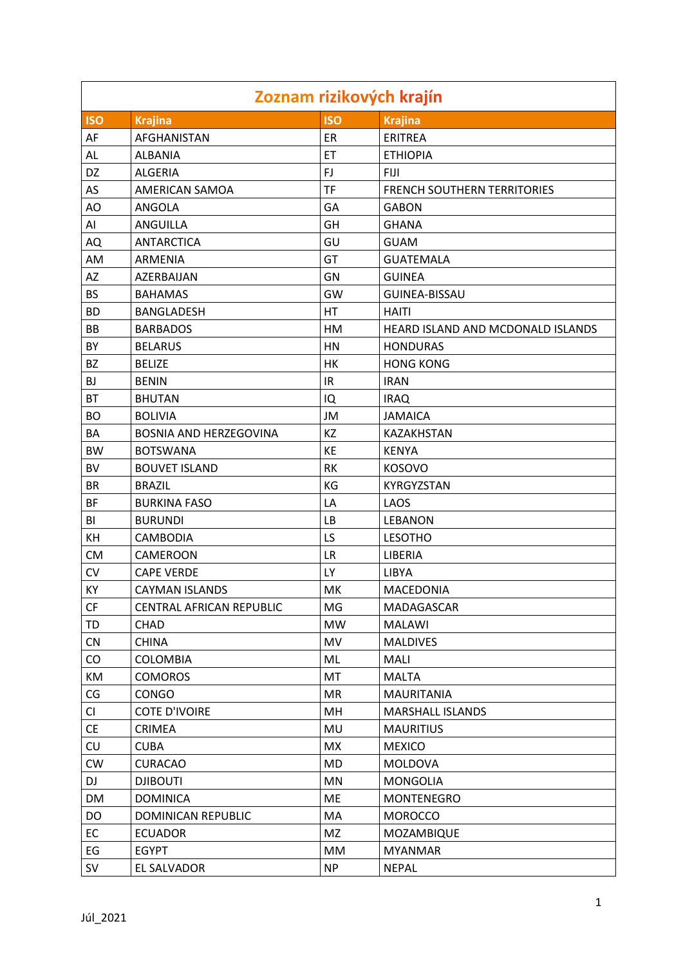| Zoznam rizikových krajín |                               |            |                                    |  |
|--------------------------|-------------------------------|------------|------------------------------------|--|
| <b>ISO</b>               | <b>Krajina</b>                | <b>ISO</b> | <b>Krajina</b>                     |  |
| AF                       | AFGHANISTAN                   | ER         | <b>ERITREA</b>                     |  |
| AL                       | <b>ALBANIA</b>                | ET         | <b>ETHIOPIA</b>                    |  |
| DZ                       | <b>ALGERIA</b>                | FJ         | <b>FIJI</b>                        |  |
| AS                       | AMERICAN SAMOA                | <b>TF</b>  | <b>FRENCH SOUTHERN TERRITORIES</b> |  |
| AO                       | ANGOLA                        | GA         | <b>GABON</b>                       |  |
| AI                       | ANGUILLA                      | GH         | <b>GHANA</b>                       |  |
| AQ                       | <b>ANTARCTICA</b>             | GU         | <b>GUAM</b>                        |  |
| AM                       | ARMENIA                       | GT         | <b>GUATEMALA</b>                   |  |
| AZ                       | AZERBAIJAN                    | GN         | <b>GUINEA</b>                      |  |
| <b>BS</b>                | <b>BAHAMAS</b>                | GW         | <b>GUINEA-BISSAU</b>               |  |
| <b>BD</b>                | <b>BANGLADESH</b>             | HT         | <b>HAITI</b>                       |  |
| <b>BB</b>                | <b>BARBADOS</b>               | HM         | HEARD ISLAND AND MCDONALD ISLANDS  |  |
| BY                       | <b>BELARUS</b>                | HN         | <b>HONDURAS</b>                    |  |
| BZ                       | <b>BELIZE</b>                 | HK         | <b>HONG KONG</b>                   |  |
| BJ                       | <b>BENIN</b>                  | IR         | <b>IRAN</b>                        |  |
| <b>BT</b>                | <b>BHUTAN</b>                 | IQ         | <b>IRAQ</b>                        |  |
| <b>BO</b>                | <b>BOLIVIA</b>                | JM         | <b>JAMAICA</b>                     |  |
| ВA                       | <b>BOSNIA AND HERZEGOVINA</b> | KZ         | KAZAKHSTAN                         |  |
| <b>BW</b>                | <b>BOTSWANA</b>               | KE         | <b>KENYA</b>                       |  |
| <b>BV</b>                | <b>BOUVET ISLAND</b>          | <b>RK</b>  | <b>KOSOVO</b>                      |  |
| BR                       | <b>BRAZIL</b>                 | KG         | KYRGYZSTAN                         |  |
| BF                       | <b>BURKINA FASO</b>           | LA         | LAOS                               |  |
| BI                       | <b>BURUNDI</b>                | <b>LB</b>  | <b>LEBANON</b>                     |  |
| KH                       | CAMBODIA                      | LS         | <b>LESOTHO</b>                     |  |
| <b>CM</b>                | CAMEROON                      | <b>LR</b>  | LIBERIA                            |  |
| CV                       | <b>CAPE VERDE</b>             | LY         | LIBYA                              |  |
| KY                       | <b>CAYMAN ISLANDS</b>         | MK         | <b>MACEDONIA</b>                   |  |
| CF                       | CENTRAL AFRICAN REPUBLIC      | MG         | MADAGASCAR                         |  |
| TD                       | CHAD                          | <b>MW</b>  | MALAWI                             |  |
| CN                       | <b>CHINA</b>                  | MV         | <b>MALDIVES</b>                    |  |
| CO                       | <b>COLOMBIA</b>               | ML         | MALI                               |  |
| KM                       | <b>COMOROS</b>                | <b>MT</b>  | <b>MALTA</b>                       |  |
| CG                       | CONGO                         | <b>MR</b>  | <b>MAURITANIA</b>                  |  |
| CI                       | <b>COTE D'IVOIRE</b>          | MH         | <b>MARSHALL ISLANDS</b>            |  |
| <b>CE</b>                | <b>CRIMEA</b>                 | MU         | <b>MAURITIUS</b>                   |  |
| <b>CU</b>                | <b>CUBA</b>                   | MX         | <b>MEXICO</b>                      |  |
| <b>CW</b>                | <b>CURACAO</b>                | MD         | <b>MOLDOVA</b>                     |  |
| DJ                       | <b>DJIBOUTI</b>               | <b>MN</b>  | <b>MONGOLIA</b>                    |  |
| DM                       | <b>DOMINICA</b>               | ME         | MONTENEGRO                         |  |
| DO                       | DOMINICAN REPUBLIC            | MA         | <b>MOROCCO</b>                     |  |
| <b>EC</b>                | <b>ECUADOR</b>                | MZ         | MOZAMBIQUE                         |  |
| EG                       | <b>EGYPT</b>                  | MM         | <b>MYANMAR</b>                     |  |
| SV                       | EL SALVADOR                   | <b>NP</b>  | <b>NEPAL</b>                       |  |